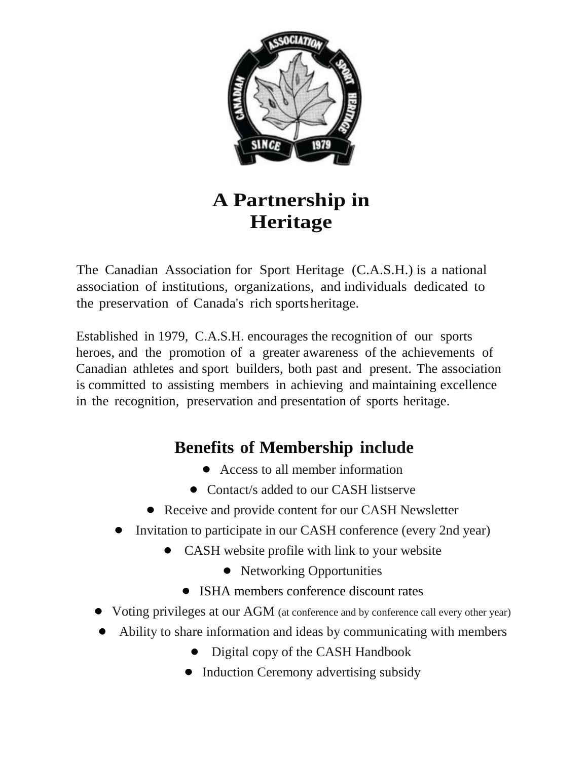

# **A Partnership in Heritage**

The Canadian Association for Sport Heritage (C.A.S.H.) is a national association of institutions, organizations, and individuals dedicated to the preservation of Canada's rich sportsheritage.

Established in 1979, C.A.S.H. encourages the recognition of our sports heroes, and the promotion of a greater awareness of the achievements of Canadian athletes and sport builders, both past and present. The association is committed to assisting members in achieving and maintaining excellence in the recognition, preservation and presentation of sports heritage.

# **Benefits of Membership include**

- Access to all member information
- Contact/s added to our CASH listserve
- Receive and provide content for our CASH Newsletter
- Invitation to participate in our CASH conference (every 2nd year)
	- CASH website profile with link to your website
		- Networking Opportunities
		- ISHA members conference discount rates
- Voting privileges at our AGM (at conference and by conference call every other year)
- Ability to share information and ideas by communicating with members
	- Digital copy of the CASH Handbook
	- Induction Ceremony advertising subsidy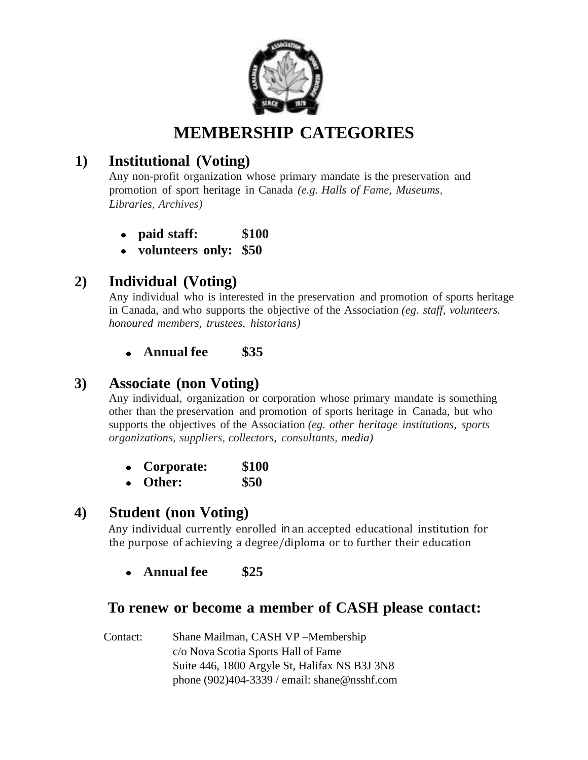

# **MEMBERSHIP CATEGORIES**

## **1) Institutional (Voting)**

Any non-profit organization whose primary mandate is the preservation and promotion of sport heritage in Canada *(e.g. Halls of Fame, Museums, Libraries, Archives)*

- **paid staff: \$100**
- **volunteers only: \$50**

### **2) Individual (Voting)**

Any individual who is interested in the preservation and promotion of sports heritage in Canada, and who supports the objective of the Association *(eg. staff, volunteers. honoured members, trustees, historians)*

**Annual fee \$35**

#### **3) Associate (non Voting)**

Any individual, organization or corporation whose primary mandate is something other than the preservation and promotion of sports heritage in Canada, but who supports the objectives of the Association *(eg. other heritage institutions, sports organizations, suppliers, collectors, consultants, media)*

| Corporate:        | \$100 |
|-------------------|-------|
| $\mathbf{\Omega}$ | ወመጠ   |

**Other: \$50**

#### **4) Student (non Voting)**

Any individual currently enrolled in an accepted educational institution for the purpose of achieving a degree/diploma or to further their education

**Annual fee \$25**

#### **To renew or become a member of CASH please contact:**

Contact: Shane Mailman, CASH VP –Membership c/o Nova Scotia Sports Hall of Fame Suite 446, 1800 Argyle St, Halifax NS B3J 3N8 phone (902)404-3339 / email: shane@nsshf.com